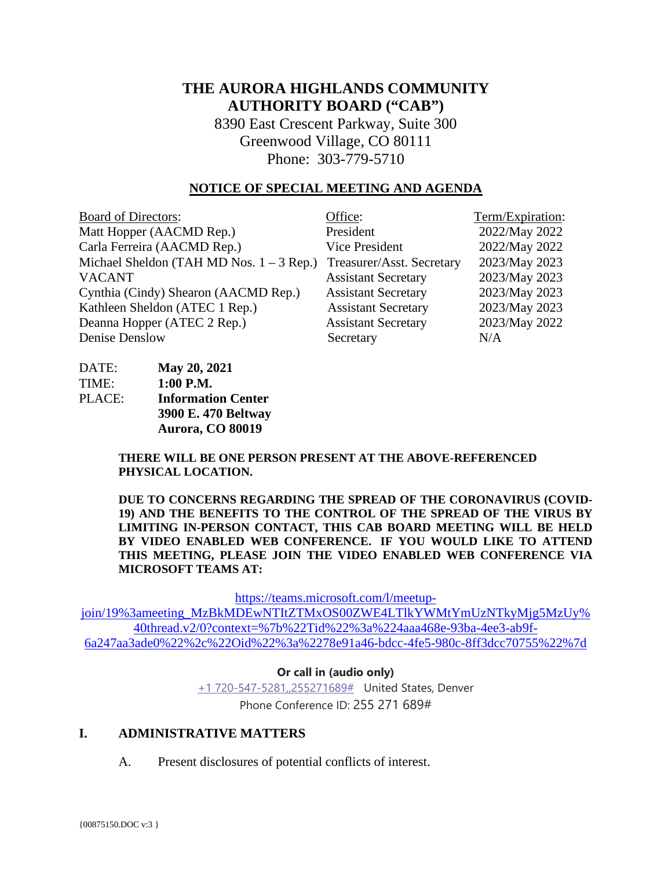# **THE AURORA HIGHLANDS COMMUNITY AUTHORITY BOARD ("CAB")**

8390 East Crescent Parkway, Suite 300 Greenwood Village, CO 80111 Phone: 303-779-5710

#### **NOTICE OF SPECIAL MEETING AND AGENDA**

| <b>Board of Directors:</b>                 | Office:                    | Term/Expiration: |
|--------------------------------------------|----------------------------|------------------|
| Matt Hopper (AACMD Rep.)                   | President                  | 2022/May 2022    |
| Carla Ferreira (AACMD Rep.)                | <b>Vice President</b>      | 2022/May 2022    |
| Michael Sheldon (TAH MD Nos. $1 - 3$ Rep.) | Treasurer/Asst. Secretary  | 2023/May 2023    |
| <b>VACANT</b>                              | <b>Assistant Secretary</b> | 2023/May 2023    |
| Cynthia (Cindy) Shearon (AACMD Rep.)       | <b>Assistant Secretary</b> | 2023/May 2023    |
| Kathleen Sheldon (ATEC 1 Rep.)             | <b>Assistant Secretary</b> | 2023/May 2023    |
| Deanna Hopper (ATEC 2 Rep.)                | <b>Assistant Secretary</b> | 2023/May 2022    |
| Denise Denslow                             | Secretary                  | N/A              |

| DATE:  | May 20, 2021              |
|--------|---------------------------|
| TIME:  | 1:00 P.M.                 |
| PLACE: | <b>Information Center</b> |
|        | 3900 E. 470 Beltway       |
|        | Aurora, CO 80019          |

**THERE WILL BE ONE PERSON PRESENT AT THE ABOVE-REFERENCED PHYSICAL LOCATION.**

**DUE TO CONCERNS REGARDING THE SPREAD OF THE CORONAVIRUS (COVID-19) AND THE BENEFITS TO THE CONTROL OF THE SPREAD OF THE VIRUS BY LIMITING IN-PERSON CONTACT, THIS CAB BOARD MEETING WILL BE HELD BY VIDEO ENABLED WEB CONFERENCE. IF YOU WOULD LIKE TO ATTEND THIS MEETING, PLEASE JOIN THE VIDEO ENABLED WEB CONFERENCE VIA MICROSOFT TEAMS AT:**

[https://teams.microsoft.com/l/meetup-](https://teams.microsoft.com/l/meetup-join/19%3ameeting_MzBkMDEwNTItZTMxOS00ZWE4LTlkYWMtYmUzNTkyMjg5MzUy%40thread.v2/0?context=%7b%22Tid%22%3a%224aaa468e-93ba-4ee3-ab9f-6a247aa3ade0%22%2c%22Oid%22%3a%2278e91a46-bdcc-4fe5-980c-8ff3dcc70755%22%7d)

[join/19%3ameeting\\_MzBkMDEwNTItZTMxOS00ZWE4LTlkYWMtYmUzNTkyMjg5MzUy%](https://teams.microsoft.com/l/meetup-join/19%3ameeting_MzBkMDEwNTItZTMxOS00ZWE4LTlkYWMtYmUzNTkyMjg5MzUy%40thread.v2/0?context=%7b%22Tid%22%3a%224aaa468e-93ba-4ee3-ab9f-6a247aa3ade0%22%2c%22Oid%22%3a%2278e91a46-bdcc-4fe5-980c-8ff3dcc70755%22%7d) [40thread.v2/0?context=%7b%22Tid%22%3a%224aaa468e-93ba-4ee3-ab9f-](https://teams.microsoft.com/l/meetup-join/19%3ameeting_MzBkMDEwNTItZTMxOS00ZWE4LTlkYWMtYmUzNTkyMjg5MzUy%40thread.v2/0?context=%7b%22Tid%22%3a%224aaa468e-93ba-4ee3-ab9f-6a247aa3ade0%22%2c%22Oid%22%3a%2278e91a46-bdcc-4fe5-980c-8ff3dcc70755%22%7d)[6a247aa3ade0%22%2c%22Oid%22%3a%2278e91a46-bdcc-4fe5-980c-8ff3dcc70755%22%7d](https://teams.microsoft.com/l/meetup-join/19%3ameeting_MzBkMDEwNTItZTMxOS00ZWE4LTlkYWMtYmUzNTkyMjg5MzUy%40thread.v2/0?context=%7b%22Tid%22%3a%224aaa468e-93ba-4ee3-ab9f-6a247aa3ade0%22%2c%22Oid%22%3a%2278e91a46-bdcc-4fe5-980c-8ff3dcc70755%22%7d)

**Or call in (audio only)**

[+1 720-547-5281,,255271689#](tel:+17205475281,,255271689#%20) United States, Denver Phone Conference ID: 255 271 689#

#### **I. ADMINISTRATIVE MATTERS**

A. Present disclosures of potential conflicts of interest.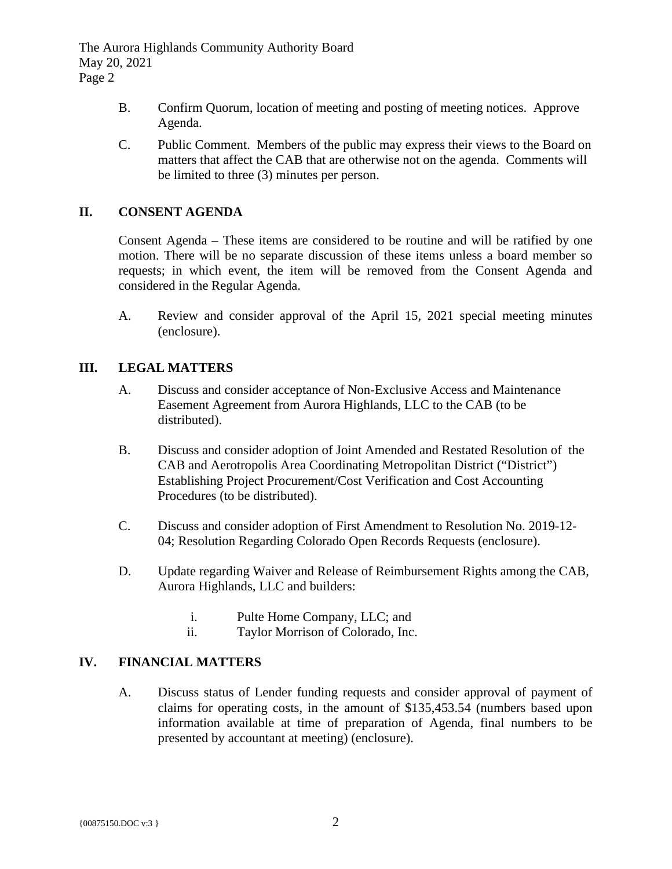The Aurora Highlands Community Authority Board May 20, 2021 Page 2

- B. Confirm Quorum, location of meeting and posting of meeting notices. Approve Agenda.
- C. Public Comment. Members of the public may express their views to the Board on matters that affect the CAB that are otherwise not on the agenda. Comments will be limited to three (3) minutes per person.

## **II. CONSENT AGENDA**

Consent Agenda – These items are considered to be routine and will be ratified by one motion. There will be no separate discussion of these items unless a board member so requests; in which event, the item will be removed from the Consent Agenda and considered in the Regular Agenda.

A. Review and consider approval of the April 15, 2021 special meeting minutes (enclosure).

### **III. LEGAL MATTERS**

- A. Discuss and consider acceptance of Non-Exclusive Access and Maintenance Easement Agreement from Aurora Highlands, LLC to the CAB (to be distributed).
- B. Discuss and consider adoption of Joint Amended and Restated Resolution of the CAB and Aerotropolis Area Coordinating Metropolitan District ("District") Establishing Project Procurement/Cost Verification and Cost Accounting Procedures (to be distributed).
- C. Discuss and consider adoption of First Amendment to Resolution No. 2019-12- 04; Resolution Regarding Colorado Open Records Requests (enclosure).
- D. Update regarding Waiver and Release of Reimbursement Rights among the CAB, Aurora Highlands, LLC and builders:
	- i. Pulte Home Company, LLC; and
	- ii. Taylor Morrison of Colorado, Inc.

## **IV. FINANCIAL MATTERS**

A. Discuss status of Lender funding requests and consider approval of payment of claims for operating costs, in the amount of \$135,453.54 (numbers based upon information available at time of preparation of Agenda, final numbers to be presented by accountant at meeting) (enclosure).